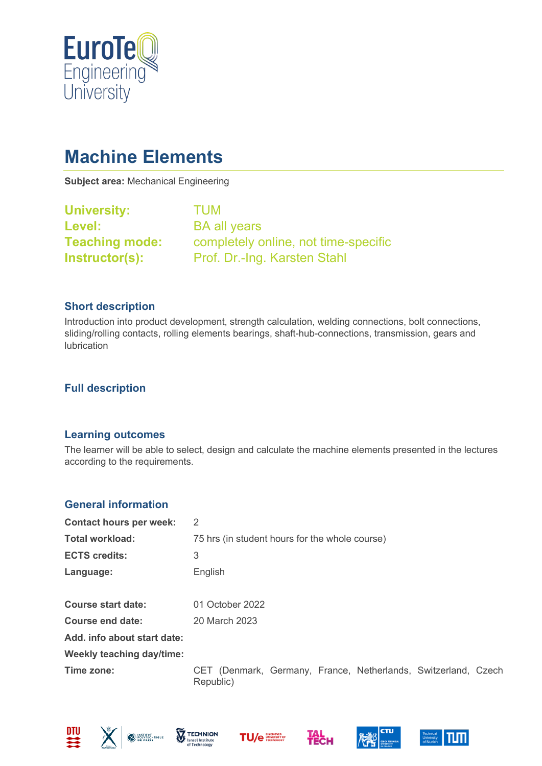

# **Machine Elements**

**Subject area:** Mechanical Engineering

| <b>University:</b>    | <b>TUM</b>                           |
|-----------------------|--------------------------------------|
| Level:                | <b>BA all years</b>                  |
| <b>Teaching mode:</b> | completely online, not time-specific |
| Instructor(s):        | Prof. Dr.-Ing. Karsten Stahl         |

## **Short description**

Introduction into product development, strength calculation, welding connections, bolt connections, sliding/rolling contacts, rolling elements bearings, shaft-hub-connections, transmission, gears and lubrication

## **Full description**

#### **Learning outcomes**

The learner will be able to select, design and calculate the machine elements presented in the lectures according to the requirements.

## **General information**

| <b>Contact hours per week:</b>   | 2                                                                           |  |
|----------------------------------|-----------------------------------------------------------------------------|--|
| <b>Total workload:</b>           | 75 hrs (in student hours for the whole course)                              |  |
| <b>ECTS credits:</b>             | 3                                                                           |  |
| Language:                        | English                                                                     |  |
| <b>Course start date:</b>        | 01 October 2022                                                             |  |
| Course end date:                 | 20 March 2023                                                               |  |
| Add. info about start date:      |                                                                             |  |
| <b>Weekly teaching day/time:</b> |                                                                             |  |
| Time zone:                       | CET (Denmark, Germany, France, Netherlands, Switzerland, Czech<br>Republic) |  |













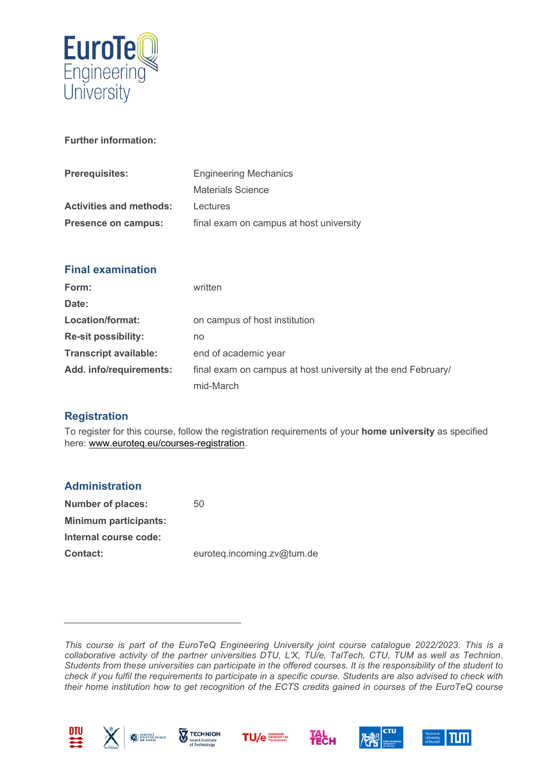

## **Further information:**

| <b>Prerequisites:</b>          | <b>Engineering Mechanics</b>            |
|--------------------------------|-----------------------------------------|
|                                | <b>Materials Science</b>                |
| <b>Activities and methods:</b> | Lectures                                |
| Presence on campus:            | final exam on campus at host university |

| <b>Final examination</b>     |                                                              |
|------------------------------|--------------------------------------------------------------|
| Form:                        | written                                                      |
| Date:                        |                                                              |
| Location/format:             | on campus of host institution                                |
| <b>Re-sit possibility:</b>   | no                                                           |
| <b>Transcript available:</b> | end of academic year                                         |
| Add. info/requirements:      | final exam on campus at host university at the end February/ |
|                              | mid-March                                                    |

## **Registration**

To register for this course, follow the registration requirements of your **home university** as specified here: [www.euroteq.eu/courses-registration.](http://www.euroteq.eu/courses-registration)

| <b>Administration</b>        |                            |
|------------------------------|----------------------------|
| Number of places:            | 50                         |
| <b>Minimum participants:</b> |                            |
| Internal course code:        |                            |
| <b>Contact:</b>              | euroteq.incoming.zv@tum.de |

*This course is part of the EuroTeQ Engineering University joint course catalogue 2022/2023. This is a collaborative activity of the partner universities DTU, L'X, TU/e, TalTech, CTU, TUM as well as Technion. Students from these universities can participate in the offered courses. It is the responsibility of the student to check if you fulfil the requirements to participate in a specific course. Students are also advised to check with their home institution how to get recognition of the ECTS credits gained in courses of the EuroTeQ course* 





*\_\_\_\_\_\_\_\_\_\_\_\_\_\_\_\_\_\_\_\_\_\_\_\_\_\_\_\_\_\_\_\_\_\_\_*